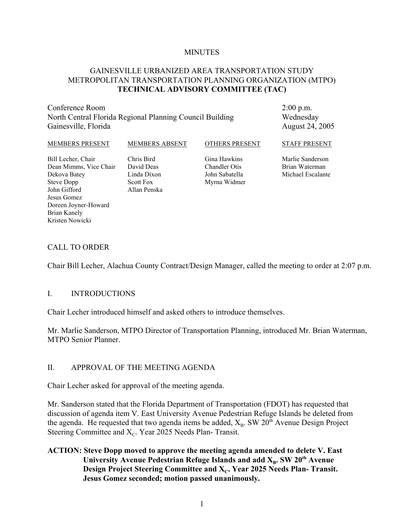#### **MINUTES**

#### GAINESVILLE URBANIZED AREA TRANSPORTATION STUDY METROPOLITAN TRANSPORTATION PLANNING ORGANIZATION (MTPO) **TECHNICAL ADVISORY COMMITTEE (TAC)**

Conference Room North Central Florida Regional Planning Council Building Gainesville, Florida

2:00 p.m. Wednesday August 24, 2005

#### MEMBERS PRESENT Bill Lecher, Chair Dean Mimms, Vice Chair Dekova Batey Steve Dopp John Gifford Jesus Gomez MEMBERS ABSENT Chris Bird David Deas Linda Dixon Scott Fox Allan Penska OTHERS PRESENT Gina Hawkins Chandler Otis John Sabatella Myrna Widmer STAFF PRESENT Marlie Sanderson Brian Waterman Michael Escalante

#### CALL TO ORDER

Doreen Joyner-Howard

Brian Kanely Kristen Nowicki

Chair Bill Lecher, Alachua County Contract/Design Manager, called the meeting to order at 2:07 p.m.

#### I. INTRODUCTIONS

Chair Lecher introduced himself and asked others to introduce themselves.

Mr. Marlie Sanderson, MTPO Director of Transportation Planning, introduced Mr. Brian Waterman, MTPO Senior Planner.

#### II. APPROVAL OF THE MEETING AGENDA

Chair Lecher asked for approval of the meeting agenda.

Mr. Sanderson stated that the Florida Department of Transportation (FDOT) has requested that discussion of agenda item V. East University Avenue Pedestrian Refuge Islands be deleted from the agenda. He requested that two agenda items be added,  $X_B$ . SW 20<sup>th</sup> Avenue Design Project Steering Committee and  $X_C$ . Year 2025 Needs Plan- Transit.

#### **ACTION: Steve Dopp moved to approve the meeting agenda amended to delete V. East University Avenue Pedestrian Refuge Islands and add X<sub>B</sub>. SW 20<sup>th</sup> Avenue Design Project Steering Committee and X<sub>c</sub>. Year 2025 Needs Plan- Transit. Jesus Gomez seconded; motion passed unanimously.**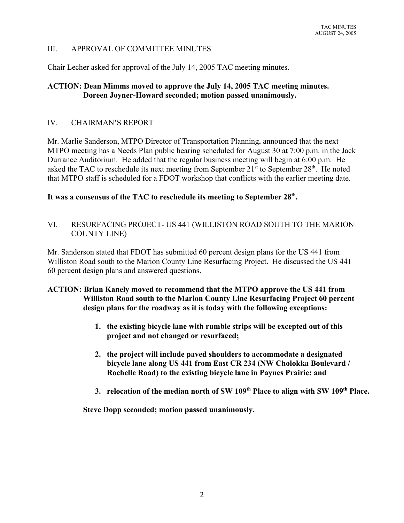#### III. APPROVAL OF COMMITTEE MINUTES

Chair Lecher asked for approval of the July 14, 2005 TAC meeting minutes.

#### **ACTION: Dean Mimms moved to approve the July 14, 2005 TAC meeting minutes. Doreen Joyner-Howard seconded; motion passed unanimously.**

#### IV. CHAIRMAN'S REPORT

Mr. Marlie Sanderson, MTPO Director of Transportation Planning, announced that the next MTPO meeting has a Needs Plan public hearing scheduled for August 30 at 7:00 p.m. in the Jack Durrance Auditorium. He added that the regular business meeting will begin at 6:00 p.m. He asked the TAC to reschedule its next meeting from September  $21<sup>st</sup>$  to September  $28<sup>th</sup>$ . He noted that MTPO staff is scheduled for a FDOT workshop that conflicts with the earlier meeting date.

## **It was a consensus of the TAC to reschedule its meeting to September 28th.**

VI. RESURFACING PROJECT- US 441 (WILLISTON ROAD SOUTH TO THE MARION COUNTY LINE)

Mr. Sanderson stated that FDOT has submitted 60 percent design plans for the US 441 from Williston Road south to the Marion County Line Resurfacing Project. He discussed the US 441 60 percent design plans and answered questions.

#### **ACTION: Brian Kanely moved to recommend that the MTPO approve the US 441 from Williston Road south to the Marion County Line Resurfacing Project 60 percent design plans for the roadway as it is today with the following exceptions:**

- **1. the existing bicycle lane with rumble strips will be excepted out of this project and not changed or resurfaced;**
- **2. the project will include paved shoulders to accommodate a designated bicycle lane along US 441 from East CR 234 (NW Cholokka Boulevard / Rochelle Road) to the existing bicycle lane in Paynes Prairie; and**
- **3. relocation of the median north of SW 109th Place to align with SW 109th Place.**

**Steve Dopp seconded; motion passed unanimously.**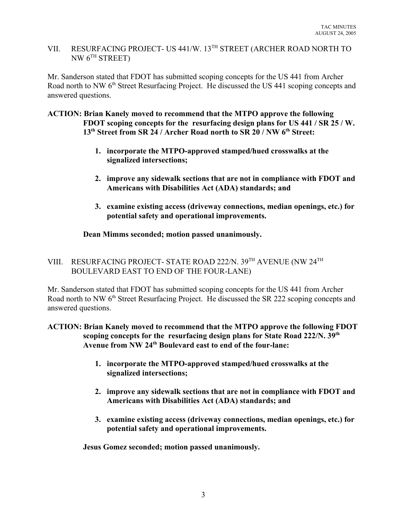# VII. RESURFACING PROJECT- US 441/W. 13TH STREET (ARCHER ROAD NORTH TO NW  $6^{TH}$  STREET)

Mr. Sanderson stated that FDOT has submitted scoping concepts for the US 441 from Archer Road north to NW 6<sup>th</sup> Street Resurfacing Project. He discussed the US 441 scoping concepts and answered questions.

#### **ACTION: Brian Kanely moved to recommend that the MTPO approve the following FDOT scoping concepts for the resurfacing design plans for US 441 / SR 25 / W. 13th Street from SR 24 / Archer Road north to SR 20 / NW 6th Street:**

- **1. incorporate the MTPO-approved stamped/hued crosswalks at the signalized intersections;**
- **2. improve any sidewalk sections that are not in compliance with FDOT and Americans with Disabilities Act (ADA) standards; and**
- **3. examine existing access (driveway connections, median openings, etc.) for potential safety and operational improvements.**

## **Dean Mimms seconded; motion passed unanimously.**

## VIII. RESURFACING PROJECT- STATE ROAD 222/N. 39TH AVENUE (NW 24TH BOULEVARD EAST TO END OF THE FOUR-LANE)

Mr. Sanderson stated that FDOT has submitted scoping concepts for the US 441 from Archer Road north to NW 6<sup>th</sup> Street Resurfacing Project. He discussed the SR 222 scoping concepts and answered questions.

#### **ACTION: Brian Kanely moved to recommend that the MTPO approve the following FDOT scoping concepts for the resurfacing design plans for State Road 222/N. 39th Avenue from NW 24th Boulevard east to end of the four-lane:**

- **1. incorporate the MTPO-approved stamped/hued crosswalks at the signalized intersections;**
- **2. improve any sidewalk sections that are not in compliance with FDOT and Americans with Disabilities Act (ADA) standards; and**
- **3. examine existing access (driveway connections, median openings, etc.) for potential safety and operational improvements.**

**Jesus Gomez seconded; motion passed unanimously.**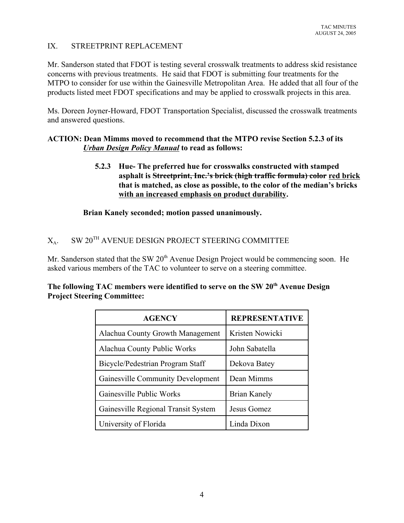#### IX. STREETPRINT REPLACEMENT

Mr. Sanderson stated that FDOT is testing several crosswalk treatments to address skid resistance concerns with previous treatments. He said that FDOT is submitting four treatments for the MTPO to consider for use within the Gainesville Metropolitan Area. He added that all four of the products listed meet FDOT specifications and may be applied to crosswalk projects in this area.

Ms. Doreen Joyner-Howard, FDOT Transportation Specialist, discussed the crosswalk treatments and answered questions.

#### **ACTION: Dean Mimms moved to recommend that the MTPO revise Section 5.2.3 of its**  *Urban Design Policy Manual* **to read as follows:**

**5.2.3 Hue- The preferred hue for crosswalks constructed with stamped asphalt is Streetprint, Inc.'s brick (high traffic formula) color red brick that is matched, as close as possible, to the color of the median's bricks with an increased emphasis on product durability.**

**Brian Kanely seconded; motion passed unanimously.**

# $X_A$ . SW 20<sup>TH</sup> AVENUE DESIGN PROJECT STEERING COMMITTEE

Mr. Sanderson stated that the SW  $20<sup>th</sup>$  Avenue Design Project would be commencing soon. He asked various members of the TAC to volunteer to serve on a steering committee.

| oject Steering Committee: |               |                       |  |  |  |
|---------------------------|---------------|-----------------------|--|--|--|
|                           | <b>AGENCY</b> | <b>REPRESENTATIVE</b> |  |  |  |
|                           |               |                       |  |  |  |

| The following TAC members were identified to serve on the SW 20 <sup>th</sup> Avenue Design |  |
|---------------------------------------------------------------------------------------------|--|
| <b>Project Steering Committee:</b>                                                          |  |
|                                                                                             |  |

| <b>AGENCY</b>                       | <b>REPRESENTATIVE</b> |
|-------------------------------------|-----------------------|
| Alachua County Growth Management    | Kristen Nowicki       |
| Alachua County Public Works         | John Sabatella        |
| Bicycle/Pedestrian Program Staff    | Dekova Batey          |
| Gainesville Community Development   | Dean Mimms            |
| Gainesville Public Works            | Brian Kanely          |
| Gainesville Regional Transit System | Jesus Gomez           |
| University of Florida               | Linda Dixon           |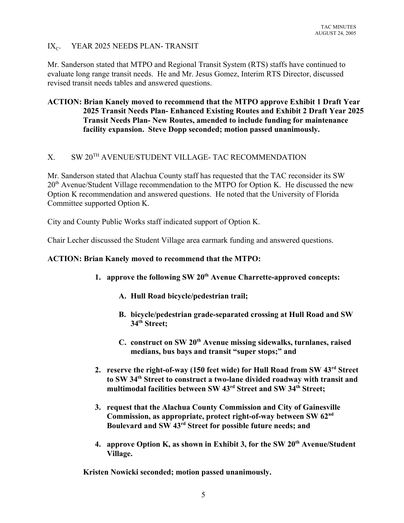#### $IX<sub>C</sub>$ . YEAR 2025 NEEDS PLAN- TRANSIT

Mr. Sanderson stated that MTPO and Regional Transit System (RTS) staffs have continued to evaluate long range transit needs. He and Mr. Jesus Gomez, Interim RTS Director, discussed revised transit needs tables and answered questions.

## **ACTION: Brian Kanely moved to recommend that the MTPO approve Exhibit 1 Draft Year 2025 Transit Needs Plan- Enhanced Existing Routes and Exhibit 2 Draft Year 2025 Transit Needs Plan- New Routes, amended to include funding for maintenance facility expansion. Steve Dopp seconded; motion passed unanimously.**

# X. SW 20TH AVENUE/STUDENT VILLAGE- TAC RECOMMENDATION

Mr. Sanderson stated that Alachua County staff has requested that the TAC reconsider its SW  $20<sup>th</sup>$  Avenue/Student Village recommendation to the MTPO for Option K. He discussed the new Option K recommendation and answered questions. He noted that the University of Florida Committee supported Option K.

City and County Public Works staff indicated support of Option K.

Chair Lecher discussed the Student Village area earmark funding and answered questions.

#### **ACTION: Brian Kanely moved to recommend that the MTPO:**

- 1. approve the following SW 20<sup>th</sup> Avenue Charrette-approved concepts:
	- **A. Hull Road bicycle/pedestrian trail;**
	- **B. bicycle/pedestrian grade-separated crossing at Hull Road and SW 34th Street;**
	- **C. construct on SW 20th Avenue missing sidewalks, turnlanes, raised medians, bus bays and transit "super stops;" and**
- **2. reserve the right-of-way (150 feet wide) for Hull Road from SW 43rd Street to SW 34th Street to construct a two-lane divided roadway with transit and multimodal facilities between SW 43rd Street and SW 34th Street;**
- **3. request that the Alachua County Commission and City of Gainesville Commission, as appropriate, protect right-of-way between SW 62nd Boulevard and SW 43rd Street for possible future needs; and**
- **4. approve Option K, as shown in Exhibit 3, for the SW 20<sup>th</sup> Avenue/Student Village.**

**Kristen Nowicki seconded; motion passed unanimously.**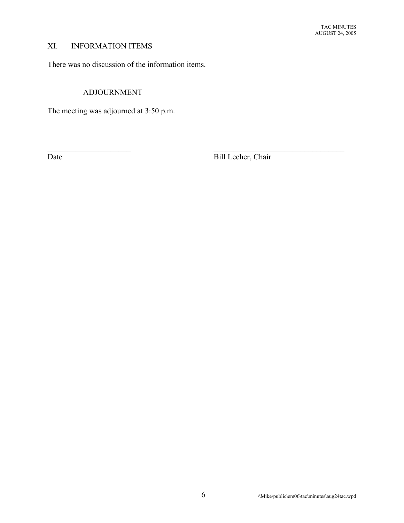# XI. INFORMATION ITEMS

There was no discussion of the information items.

# ADJOURNMENT

The meeting was adjourned at 3:50 p.m.

Date Bill Lecher, Chair

 $\mathcal{L}_\text{max}$  , and the contribution of the contribution of the contribution of the contribution of the contribution of the contribution of the contribution of the contribution of the contribution of the contribution of t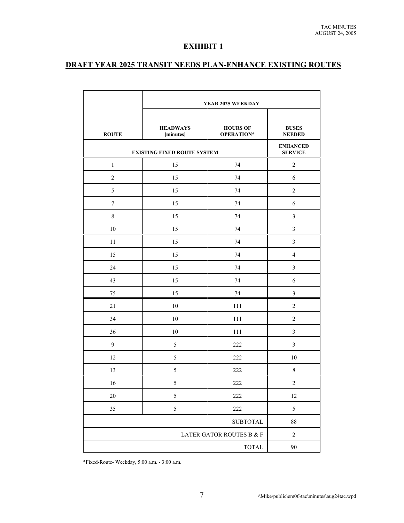#### **EXHIBIT 1**

# **DRAFT YEAR 2025 TRANSIT NEEDS PLAN-ENHANCE EXISTING ROUTES**

|                                    | YEAR 2025 WEEKDAY            |                               |                                                  |
|------------------------------------|------------------------------|-------------------------------|--------------------------------------------------|
| <b>ROUTE</b>                       | <b>HEADWAYS</b><br>[minutes] | <b>HOURS OF</b><br>OPERATION* | <b>BUSES</b><br><b>NEEDED</b><br><b>ENHANCED</b> |
| <b>EXISTING FIXED ROUTE SYSTEM</b> |                              |                               | <b>SERVICE</b>                                   |
| $\mathbf{1}$                       | 15                           | 74                            | $\overline{c}$                                   |
| $\overline{2}$                     | 15                           | 74                            | 6                                                |
| 5                                  | 15                           | 74                            | $\overline{2}$                                   |
| $\boldsymbol{7}$                   | 15                           | 74                            | 6                                                |
| $\,$ 8 $\,$                        | 15                           | 74                            | 3                                                |
| $10\,$                             | 15                           | 74                            | 3                                                |
| 11                                 | 15                           | 74                            | 3                                                |
| 15                                 | 15                           | 74                            | $\overline{4}$                                   |
| 24                                 | 15                           | 74                            | 3                                                |
| 43                                 | 15                           | 74                            | 6                                                |
| 75                                 | 15                           | 74                            | $\overline{\mathbf{3}}$                          |
| 21                                 | $10\,$                       | 111                           | $\overline{c}$                                   |
| 34                                 | 10                           | 111                           | $\overline{2}$                                   |
| 36                                 | 10                           | 111                           | 3                                                |
| 9                                  | 5                            | 222                           | $\overline{\mathbf{3}}$                          |
| 12                                 | 5                            | 222                           | 10                                               |
| 13                                 | 5                            | 222                           | 8                                                |
| 16                                 | 5                            | 222                           | $\overline{c}$                                   |
| $20\,$                             | 5                            | $222\,$                       | 12                                               |
| 35                                 | 5                            | $222\,$                       | 5                                                |
|                                    |                              | <b>SUBTOTAL</b>               | 88                                               |
|                                    |                              | LATER GATOR ROUTES B $\&$ F   | $\sqrt{2}$                                       |
|                                    |                              | <b>TOTAL</b>                  | $90\,$                                           |

\*Fixed-Route- Weekday, 5:00 a.m. - 3:00 a.m.